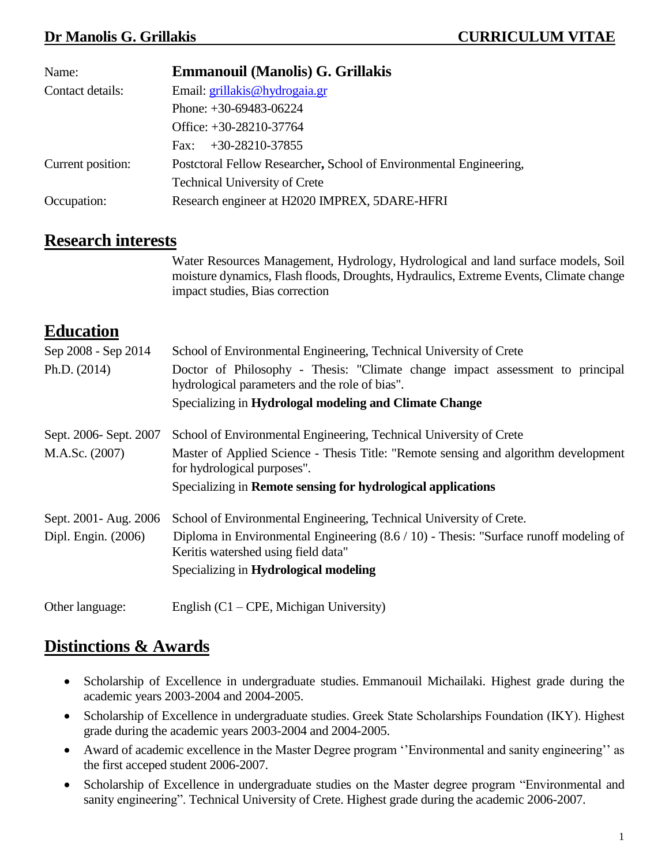| Name:             | <b>Emmanouil (Manolis) G. Grillakis</b>                            |
|-------------------|--------------------------------------------------------------------|
| Contact details:  | Email: grillakis@hydrogaia.gr                                      |
|                   | Phone: $+30-69483-06224$                                           |
|                   | Office: $+30-28210-37764$                                          |
|                   | $+30-28210-37855$<br>Fax:                                          |
| Current position: | Postctoral Fellow Researcher, School of Environmental Engineering, |
|                   | <b>Technical University of Crete</b>                               |
| Occupation:       | Research engineer at H2020 IMPREX, 5DARE-HFRI                      |

#### **Research interests**

Water Resources Management, Hydrology, Hydrological and land surface models, Soil moisture dynamics, Flash floods, Droughts, Hydraulics, Extreme Events, Climate change impact studies, Bias correction

#### **Education**

| Sep 2008 - Sep 2014    | School of Environmental Engineering, Technical University of Crete                                                              |
|------------------------|---------------------------------------------------------------------------------------------------------------------------------|
| Ph.D. $(2014)$         | Doctor of Philosophy - Thesis: "Climate change impact assessment to principal<br>hydrological parameters and the role of bias". |
|                        | Specializing in Hydrologal modeling and Climate Change                                                                          |
| Sept. 2006- Sept. 2007 | School of Environmental Engineering, Technical University of Crete                                                              |
| M.A.Sc. (2007)         | Master of Applied Science - Thesis Title: "Remote sensing and algorithm development<br>for hydrological purposes".              |
|                        | Specializing in Remote sensing for hydrological applications                                                                    |
| Sept. 2001 - Aug. 2006 | School of Environmental Engineering, Technical University of Crete.                                                             |
| Dipl. Engin. (2006)    | Diploma in Environmental Engineering $(8.6 / 10)$ - Thesis: "Surface runoff modeling of<br>Keritis watershed using field data"  |
|                        | Specializing in Hydrological modeling                                                                                           |
|                        |                                                                                                                                 |

Other language: English (C1 – CPE, Michigan University)

## **Distinctions & Awards**

- Scholarship of Excellence in undergraduate studies. Emmanouil Michailaki. Highest grade during the academic years 2003-2004 and 2004-2005.
- Scholarship of Excellence in undergraduate studies. Greek State Scholarships Foundation (ΙΚΥ). Highest grade during the academic years 2003-2004 and 2004-2005.
- Award of academic excellence in the Master Degree program ''Environmental and sanity engineering'' as the first acceped student 2006-2007.
- Scholarship of Excellence in undergraduate studies on the Master degree program "Environmental and sanity engineering". Technical University of Crete. Highest grade during the academic 2006-2007.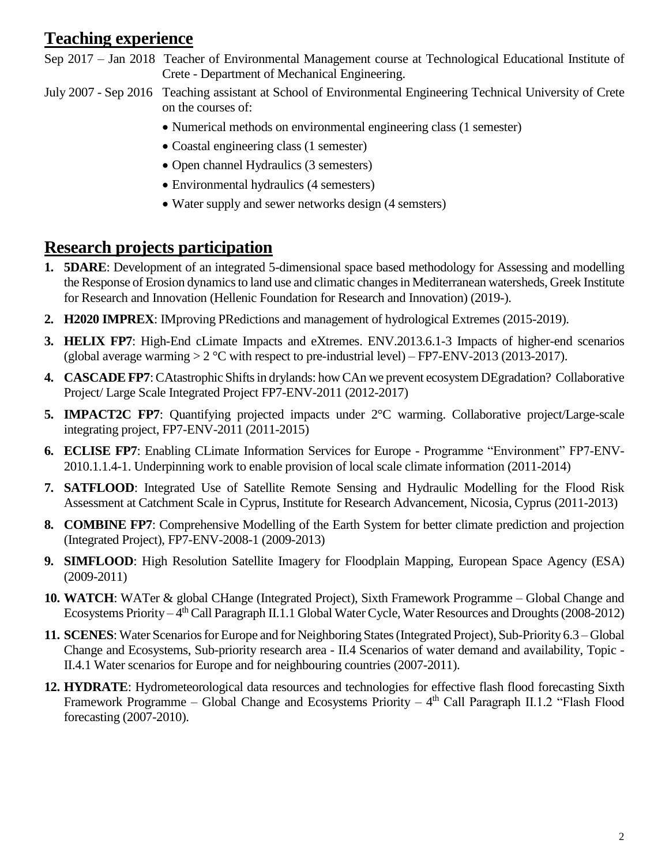# **Teaching experience**

- Sep 2017 Jan 2018 Teacher of Environmental Management course at Technological Educational Institute of Crete - Department of Mechanical Engineering.
- July 2007 Sep 2016 Teaching assistant at School of Environmental Engineering Technical University of Crete on the courses of:
	- Numerical methods on environmental engineering class (1 semester)
	- Coastal engineering class (1 semester)
	- Open channel Hydraulics (3 semesters)
	- Environmental hydraulics (4 semesters)
	- Water supply and sewer networks design (4 semsters)

## **Research projects participation**

- **1. 5DARE**: Development of an integrated 5-dimensional space based methodology for Assessing and modelling the Response of Erosion dynamics to land use and climatic changes in Mediterranean watersheds, Greek Institute for Research and Innovation (Hellenic Foundation for Research and Innovation) (2019-).
- **2. H2020 IMPREX**: IMproving PRedictions and management of hydrological Extremes (2015-2019).
- **3. HELIX FP7**: High-End cLimate Impacts and eXtremes. ENV.2013.6.1-3 Impacts of higher-end scenarios (global average warming  $> 2 \degree C$  with respect to pre-industrial level) – FP7-ENV-2013 (2013-2017).
- **4. CASCADEFP7**: CAtastrophic Shifts in drylands: how CAn we prevent ecosystem DEgradation? Collaborative Project/ Large Scale Integrated Project FP7-ENV-2011 (2012-2017)
- **5. IMPACT2C FP7**: Quantifying projected impacts under 2°C warming. Collaborative project/Large-scale integrating project, FP7-ENV-2011 (2011-2015)
- **6. ECLISE FP7**: Enabling CLimate Information Services for Europe Programme "Environment" FP7-ENV-2010.1.1.4-1. Underpinning work to enable provision of local scale climate information (2011-2014)
- **7. SATFLOOD**: Integrated Use of Satellite Remote Sensing and Hydraulic Modelling for the Flood Risk Assessment at Catchment Scale in Cyprus, Institute for Research Advancement, Nicosia, Cyprus (2011-2013)
- **8. COMBINE FP7**: Comprehensive Modelling of the Earth System for better climate prediction and projection (Integrated Project), FP7-ENV-2008-1 (2009-2013)
- **9. SIMFLOOD**: High Resolution Satellite Imagery for Floodplain Mapping, European Space Agency (ESA) (2009-2011)
- **10. WATCH**: WATer & global CHange (Integrated Project), Sixth Framework Programme Global Change and Ecosystems Priority – 4<sup>th</sup> Call Paragraph II.1.1 Global Water Cycle, Water Resources and Droughts (2008-2012)
- **11. SCENES**: Water Scenarios for Europe and for Neighboring States (Integrated Project), Sub-Priority 6.3 Global Change and Ecosystems, Sub-priority research area - II.4 Scenarios of water demand and availability, Topic - II.4.1 Water scenarios for Europe and for neighbouring countries (2007-2011).
- **12. HYDRATE**: Hydrometeorological data resources and technologies for effective flash flood forecasting Sixth Framework Programme – Global Change and Ecosystems Priority –  $4<sup>th</sup>$  Call Paragraph II.1.2 "Flash Flood forecasting (2007-2010).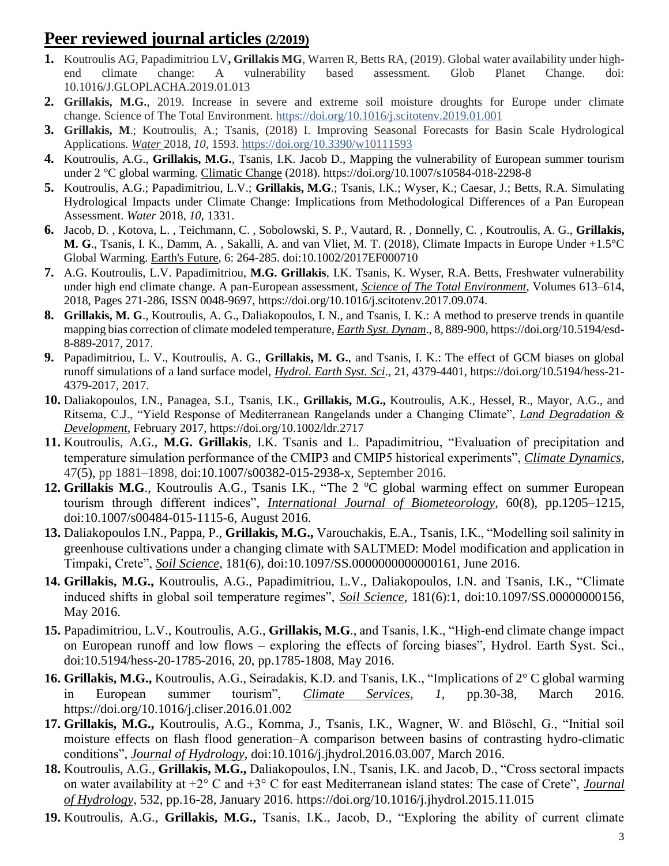## **Peer reviewed journal articles (2/2019)**

- **1.** Koutroulis AG, Papadimitriou LV**, Grillakis MG**, Warren R, Betts RA, (2019). Global water availability under highend climate change: A vulnerability based assessment. Glob Planet Change. doi: 10.1016/J.GLOPLACHA.2019.01.013
- **2. Grillakis, M.G.**, 2019. Increase in severe and extreme soil moisture droughts for Europe under climate change. Science of The Total Environment. https://doi.org/10.1016/j.scitotenv.2019.01.001
- **3. Grillakis, M**.; Koutroulis, A.; Tsanis, (2018) I. Improving Seasonal Forecasts for Basin Scale Hydrological Applications. *Water* 2018, *10*, 1593.<https://doi.org/10.3390/w10111593>
- **4.** Koutroulis, A.G., **Grillakis, M.G.**, Tsanis, I.K. Jacob D., Mapping the vulnerability of European summer tourism under 2 °C global warming. Climatic Change (2018). https://doi.org/10.1007/s10584-018-2298-8
- **5.** Koutroulis, A.G.; Papadimitriou, L.V.; **Grillakis, M.G**.; Tsanis, I.K.; Wyser, K.; Caesar, J.; Betts, R.A. Simulating Hydrological Impacts under Climate Change: Implications from Methodological Differences of a Pan European Assessment. *Water* 2018, *10*, 1331.
- **6.** Jacob, D. , Kotova, L. , Teichmann, C. , Sobolowski, S. P., Vautard, R. , Donnelly, C. , Koutroulis, A. G., **Grillakis, M. G**., Tsanis, I. K., Damm, A. , Sakalli, A. and van Vliet, M. T. (2018), Climate Impacts in Europe Under +1.5°C Global Warming. Earth's Future, 6: 264-285. doi[:10.1002/2017EF000710](https://doi.org/10.1002/2017EF000710)
- **7.** A.G. Koutroulis, L.V. Papadimitriou, **M.G. Grillakis**, I.K. Tsanis, K. Wyser, R.A. Betts, Freshwater vulnerability under high end climate change. A pan-European assessment, *Science of The Total Environment*, Volumes 613–614, 2018, Pages 271-286, ISSN 0048-9697, https://doi.org/10.1016/j.scitotenv.2017.09.074.
- **8. Grillakis, M. G**., Koutroulis, A. G., Daliakopoulos, I. N., and Tsanis, I. K.: A method to preserve trends in quantile mapping bias correction of climate modeled temperature, *Earth Syst. Dynam*., 8, 889-900, https://doi.org/10.5194/esd-8-889-2017, 2017.
- **9.** Papadimitriou, L. V., Koutroulis, A. G., **Grillakis, M. G.**, and Tsanis, I. K.: The effect of GCM biases on global runoff simulations of a land surface model, *Hydrol. Earth Syst. Sci*., 21, 4379-4401, https://doi.org/10.5194/hess-21- 4379-2017, 2017.
- **10.** Daliakopoulos, I.N., Panagea, S.I., Tsanis, I.K., **Grillakis, M.G.,** Koutroulis, A.K., Hessel, R., Mayor, A.G., and Ritsema, C.J., "Yield Response of Mediterranean Rangelands under a Changing Climate", *Land Degradation & Development*, February 2017, https://doi.org/10.1002/ldr.2717
- **11.** Koutroulis, A.G., **M.G. Grillakis**, I.K. Tsanis and L. Papadimitriou, "Evaluation of precipitation and temperature simulation performance of the CMIP3 and CMIP5 historical experiments", *Climate Dynamics*, 47(5), pp 1881–1898, doi:10.1007/s00382-015-2938-x, September 2016.
- 12. Grillakis M.G., Koutroulis A.G., Tsanis I.K., "The 2 °C global warming effect on summer European tourism through different indices", *International Journal of Biometeorology*, 60(8), pp.1205–1215, doi:10.1007/s00484-015-1115-6, August 2016.
- **13.** Daliakopoulos I.N., Pappa, P., **Grillakis, M.G.,** Varouchakis, E.A., Tsanis, I.K., "Modelling soil salinity in greenhouse cultivations under a changing climate with SALTMED: Model modification and application in Timpaki, Crete", *Soil Science*, 181(6), doi:10.1097/SS.0000000000000161, June 2016.
- **14. Grillakis, M.G.,** Koutroulis, A.G., Papadimitriou, L.V., Daliakopoulos, I.N. and Tsanis, I.K., "Climate induced shifts in global soil temperature regimes", *Soil Science*, 181(6):1, doi:10.1097/SS.00000000156, May 2016.
- **15.** Papadimitriou, L.V., Koutroulis, A.G., **Grillakis, M.G**., and Tsanis, I.K., "High-end climate change impact on European runoff and low flows – exploring the effects of forcing biases", Hydrol. Earth Syst. Sci., doi:10.5194/hess-20-1785-2016, 20, pp.1785-1808, May 2016.
- **16. Grillakis, M.G.,** Koutroulis, A.G., Seiradakis, K.D. and Tsanis, I.K., "Implications of 2° C global warming in European summer tourism", *Climate Services*, *1*, pp.30-38, March 2016. https://doi.org/10.1016/j.cliser.2016.01.002
- **17. Grillakis, M.G.,** Koutroulis, A.G., Komma, J., Tsanis, I.K., Wagner, W. and Blöschl, G., "Initial soil moisture effects on flash flood generation–A comparison between basins of contrasting hydro-climatic conditions", *Journal of Hydrology*, doi:10.1016/j.jhydrol.2016.03.007, March 2016.
- **18.** Koutroulis, A.G., **Grillakis, M.G.,** Daliakopoulos, I.N., Tsanis, I.K. and Jacob, D., "Cross sectoral impacts on water availability at +2° C and +3° C for east Mediterranean island states: The case of Crete", *Journal of Hydrology*, 532, pp.16-28, January 2016. https://doi.org/10.1016/j.jhydrol.2015.11.015
- **19.** Koutroulis, A.G., **Grillakis, M.G.,** Tsanis, I.K., Jacob, D., "Exploring the ability of current climate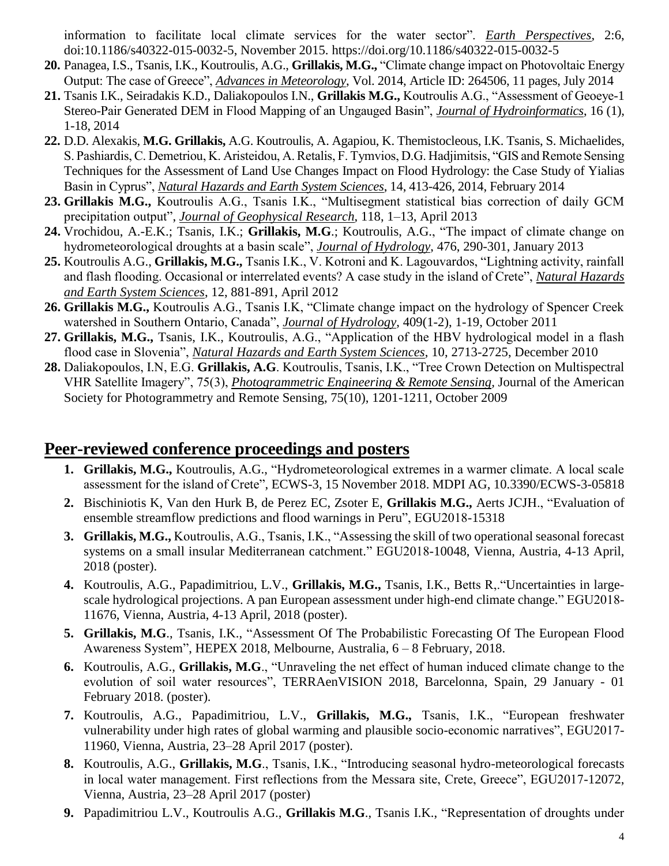information to facilitate local climate services for the water sector". *Earth Perspectives*, 2:6, doi:10.1186/s40322-015-0032-5, November 2015. https://doi.org/10.1186/s40322-015-0032-5

- **20.** Panagea, I.S., Tsanis, I.K., Koutroulis, A.G., **Grillakis, M.G.,** "Climate change impact on Photovoltaic Energy Output: The case of Greece", *Advances in Meteorology*, Vol. 2014, Article ID: 264506, 11 pages, July 2014
- **21.** Tsanis I.K., Seiradakis K.D., Daliakopoulos I.N., **Grillakis M.G.,** Koutroulis A.G., "Assessment of Geoeye-1 Stereo-Pair Generated DEM in Flood Mapping of an Ungauged Basin", *Journal of Hydroinformatics*, 16 (1), 1-18, 2014
- **22.** D.D. Alexakis, **M.G. Grillakis,** A.G. Koutroulis, A. Agapiou, K. Themistocleous, I.K. Tsanis, S. Michaelides, S. Pashiardis, C. Demetriou, K. Aristeidou, A. Retalis, F. Tymvios, D.G. Hadjimitsis, "GIS and Remote Sensing Techniques for the Assessment of Land Use Changes Impact on Flood Hydrology: the Case Study of Yialias Basin in Cyprus", *Natural Hazards and Earth System Sciences*, 14, 413-426, 2014, February 2014
- **23. Grillakis M.G.,** Koutroulis A.G., Tsanis I.K., "Multisegment statistical bias correction of daily GCM precipitation output", *Journal of Geophysical Research*, 118, 1–13, April 2013
- **24.** Vrochidou, A.-E.K.; Tsanis, I.K.; **Grillakis, M.G**.; Koutroulis, A.G., "The impact of climate change on hydrometeorological droughts at a basin scale", *Journal of Hydrology*, 476, 290-301, January 2013
- **25.** Koutroulis A.G., **Grillakis, M.G.,** Tsanis I.K., V. Kotroni and K. Lagouvardos, "Lightning activity, rainfall and flash flooding. Occasional or interrelated events? A case study in the island of Crete", *Natural Hazards and Earth System Sciences*, 12, 881-891, April 2012
- **26. Grillakis M.G.,** Koutroulis A.G., Tsanis I.K, "Climate change impact on the hydrology of Spencer Creek watershed in Southern Ontario, Canada", *Journal of Hydrology*, 409(1-2), 1-19, October 2011
- **27. Grillakis, M.G.,** Tsanis, I.K., Koutroulis, A.G., "Application of the HBV hydrological model in a flash flood case in Slovenia", *Natural Hazards and Earth System Sciences*, 10, 2713-2725, December 2010
- **28.** Daliakopoulos, Ι.Ν, E.G. **Grillakis, A.G**. Koutroulis, Tsanis, I.K., "Tree Crown Detection on Multispectral VHR Satellite Imagery", 75(3), *Photogrammetric Engineering & Remote Sensing,* Journal of the American Society for Photogrammetry and Remote Sensing, 75(10), 1201-1211, October 2009

#### **Peer-reviewed conference proceedings and posters**

- **1. Grillakis, M.G.,** Koutroulis, A.G., "Hydrometeorological extremes in a warmer climate. A local scale assessment for the island of Crete", ECWS-3, 15 November 2018. MDPI AG, 10.3390/ECWS-3-05818
- **2.** Bischiniotis K, Van den Hurk B, [de Perez](https://scholar.google.co.il/citations?user=nlmcHBwAAAAJ&hl=en&oi=sra) EC, Zsoter E, **Grillakis M.G.,** [Aerts](https://scholar.google.co.il/citations?user=5jxxN_4AAAAJ&hl=en&oi=sra) JCJH., ["Evaluation of](javascript:void(0))  [ensemble streamflow predictions and flood warnings in Peru"](javascript:void(0)), EGU2018-15318
- **3. Grillakis, M.G.,** Koutroulis, A.G., Tsanis, I.K., ["Assessing the skill of two operational seasonal forecast](javascript:void(0))  [systems on a small insular Mediterranean catchment."](javascript:void(0)) EGU2018-10048, Vienna, Austria, 4-13 April, 2018 (poster).
- **4.** Koutroulis, A.G., Papadimitriou, L.V., **Grillakis, M.G.,** Tsanis, I.K., Betts R,.["Uncertainties](javascript:void(0)) in large[scale hydrological projections. A pan European assessment under high-end climate change."](javascript:void(0)) EGU2018- 11676, Vienna, Austria, 4-13 April, 2018 (poster).
- **5. Grillakis, M.G**., Tsanis, I.K., "Assessment Of The Probabilistic Forecasting Of The European Flood Awareness System", HEPEX 2018, Melbourne, Australia, 6 – 8 February, 2018.
- **6.** Koutroulis, A.G., **Grillakis, M.G**., "Unraveling the net effect of human induced climate change to the evolution of soil water resources", TERRAenVISION 2018, Barcelonna, Spain, 29 January - 01 February 2018. (poster).
- **7.** Koutroulis, A.G., Papadimitriou, L.V., **Grillakis, M.G.,** Tsanis, I.K., "European freshwater vulnerability under high rates of global warming and plausible socio-economic narratives", EGU2017- 11960, Vienna, Austria, 23–28 April 2017 (poster).
- **8.** Koutroulis, A.G., **Grillakis, M.G**., Tsanis, I.K., "Introducing seasonal hydro-meteorological forecasts in local water management. First reflections from the Messara site, Crete, Greece", EGU2017-12072, Vienna, Austria, 23–28 April 2017 (poster)
- **9.** Papadimitriou L.V., Koutroulis A.G., **Grillakis M.G**., Tsanis I.K., "Representation of droughts under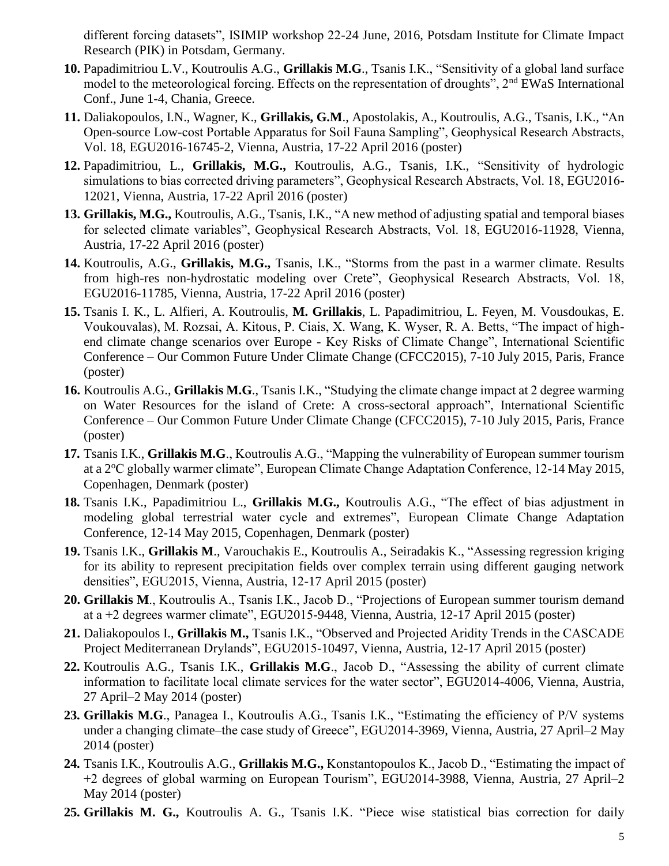different forcing datasets", ISIMIP workshop 22-24 June, 2016, Potsdam Institute for Climate Impact Research (PIK) in Potsdam, Germany.

- **10.** Papadimitriou L.V., Koutroulis A.G., **Grillakis M.G**., Tsanis I.K., "Sensitivity of a global land surface model to the meteorological forcing. Effects on the representation of droughts", 2nd EWaS International Conf., June 1-4, Chania, Greece.
- **11.** Daliakopoulos, I.N., Wagner, K., **Grillakis, G.M**., Apostolakis, A., Koutroulis, A.G., Tsanis, I.K., "An Open-source Low-cost Portable Apparatus for Soil Fauna Sampling", Geophysical Research Abstracts, Vol. 18, EGU2016-16745-2, Vienna, Austria, 17-22 April 2016 (poster)
- **12.** Papadimitriou, L., **Grillakis, M.G.,** Koutroulis, A.G., Tsanis, I.K., "Sensitivity of hydrologic simulations to bias corrected driving parameters", Geophysical Research Abstracts, Vol. 18, EGU2016-12021, Vienna, Austria, 17-22 April 2016 (poster)
- **13. Grillakis, M.G.,** Koutroulis, A.G., Tsanis, I.K., "A new method of adjusting spatial and temporal biases for selected climate variables", Geophysical Research Abstracts, Vol. 18, EGU2016-11928, Vienna, Austria, 17-22 April 2016 (poster)
- **14.** Koutroulis, A.G., **Grillakis, M.G.,** Tsanis, I.K., "Storms from the past in a warmer climate. Results from high-res non-hydrostatic modeling over Crete", Geophysical Research Abstracts, Vol. 18, EGU2016-11785, Vienna, Austria, 17-22 April 2016 (poster)
- **15.** Tsanis I. K., L. Alfieri, A. Koutroulis, **M. Grillakis**, L. Papadimitriou, L. Feyen, M. Vousdoukas, E. Voukouvalas), M. Rozsai, A. Kitous, P. Ciais, X. Wang, K. Wyser, R. A. Betts, "The impact of highend climate change scenarios over Europe - Key Risks of Climate Change", International Scientific Conference – Our Common Future Under Climate Change (CFCC2015), 7-10 July 2015, Paris, France (poster)
- **16.** Koutroulis A.G., **Grillakis M.G**., Tsanis I.K., "Studying the climate change impact at 2 degree warming on Water Resources for the island of Crete: A cross-sectoral approach", International Scientific Conference – Our Common Future Under Climate Change (CFCC2015), 7-10 July 2015, Paris, France (poster)
- **17.** Tsanis I.K., **Grillakis M.G**., Koutroulis A.G., "Mapping the vulnerability of European summer tourism at a 2<sup>o</sup>C globally warmer climate", European Climate Change Adaptation Conference, 12-14 May 2015, Copenhagen, Denmark (poster)
- **18.** Tsanis I.K., Papadimitriou L., **Grillakis M.G.,** Koutroulis A.G., "The effect of bias adjustment in modeling global terrestrial water cycle and extremes", European Climate Change Adaptation Conference, 12-14 May 2015, Copenhagen, Denmark (poster)
- **19.** Tsanis I.K., **Grillakis M**., Varouchakis E., Koutroulis A., Seiradakis K., "Assessing regression kriging for its ability to represent precipitation fields over complex terrain using different gauging network densities", EGU2015, Vienna, Austria, 12-17 April 2015 (poster)
- **20. Grillakis M**., Koutroulis A., Tsanis I.K., Jacob D., "Projections of European summer tourism demand at a +2 degrees warmer climate", EGU2015-9448, Vienna, Austria, 12-17 April 2015 (poster)
- **21.** Daliakopoulos I., **Grillakis M.,** Tsanis I.K., "Observed and Projected Aridity Trends in the CASCADE Project Mediterranean Drylands", EGU2015-10497, Vienna, Austria, 12-17 April 2015 (poster)
- **22.** Koutroulis A.G., Tsanis I.K., **Grillakis M.G**., Jacob D., "Assessing the ability of current climate information to facilitate local climate services for the water sector", EGU2014-4006, Vienna, Austria, 27 April–2 May 2014 (poster)
- **23. Grillakis M.G**., Panagea I., Koutroulis A.G., Tsanis I.K., "Estimating the efficiency of P/V systems under a changing climate–the case study of Greece", EGU2014-3969, Vienna, Austria, 27 April–2 May 2014 (poster)
- **24.** Tsanis I.K., Koutroulis A.G., **Grillakis M.G.,** Konstantopoulos K., Jacob D., "Estimating the impact of +2 degrees of global warming on European Tourism", EGU2014-3988, Vienna, Austria, 27 April–2 May 2014 (poster)
- **25. Grillakis M. G.,** Koutroulis A. G., Tsanis I.K. "Piece wise statistical bias correction for daily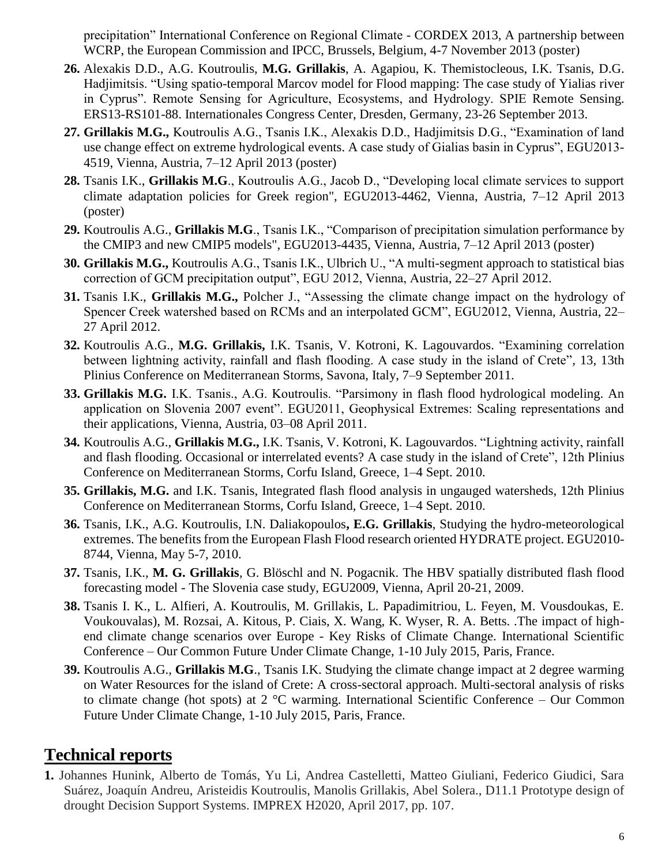precipitation" International Conference on Regional Climate - CORDEX 2013, A partnership between WCRP, the European Commission and IPCC, Brussels, Belgium, 4-7 November 2013 (poster)

- **26.** Alexakis D.D., A.G. Koutroulis, **M.G. Grillakis**, A. Agapiou, K. Themistocleous, I.K. Tsanis, D.G. Hadjimitsis. "Using spatio-temporal Marcov model for Flood mapping: The case study of Yialias river in Cyprus". Remote Sensing for Agriculture, Ecosystems, and Hydrology. SPIE Remote Sensing. ERS13-RS101-88. Internationales Congress Center, Dresden, Germany, 23-26 September 2013.
- **27. Grillakis M.G.,** Koutroulis A.G., Tsanis I.K., Alexakis D.D., Hadjimitsis D.G., "Examination of land use change effect on extreme hydrological events. A case study of Gialias basin in Cyprus", EGU2013- 4519, Vienna, Austria, 7–12 April 2013 (poster)
- **28.** Tsanis I.K., **Grillakis M.G**., Koutroulis A.G., Jacob D., "Developing local climate services to support climate adaptation policies for Greek region", EGU2013-4462, Vienna, Austria, 7–12 April 2013 (poster)
- **29.** Koutroulis A.G., **Grillakis M.G**., Tsanis I.K., "Comparison of precipitation simulation performance by the CMIP3 and new CMIP5 models", EGU2013-4435, Vienna, Austria, 7–12 April 2013 (poster)
- **30. Grillakis M.G.,** Koutroulis A.G., Tsanis I.K., Ulbrich U., "A multi-segment approach to statistical bias correction of GCM precipitation output", EGU 2012, Vienna, Austria, 22–27 April 2012.
- **31.** Tsanis I.K., **Grillakis M.G.,** Polcher J., "Assessing the climate change impact on the hydrology of Spencer Creek watershed based on RCMs and an interpolated GCM", EGU2012, Vienna, Austria, 22– 27 April 2012.
- **32.** Koutroulis A.G., **M.G. Grillakis,** I.K. Tsanis, V. Kotroni, K. Lagouvardos. "Examining correlation between lightning activity, rainfall and flash flooding. A case study in the island of Crete", 13, 13th Plinius Conference on Mediterranean Storms, Savona, Italy, 7–9 September 2011.
- **33. Grillakis M.G.** I.K. Tsanis., A.G. Koutroulis. "Parsimony in flash flood hydrological modeling. An application on Slovenia 2007 event". EGU2011, Geophysical Extremes: Scaling representations and their applications, Vienna, Austria, 03–08 April 2011.
- **34.** Koutroulis A.G., **Grillakis M.G.,** I.K. Tsanis, V. Kotroni, K. Lagouvardos. "Lightning activity, rainfall and flash flooding. Occasional or interrelated events? A case study in the island of Crete", 12th Plinius Conference on Mediterranean Storms, Corfu Island, Greece, 1–4 Sept. 2010.
- **35. Grillakis, M.G.** and I.K. Tsanis, Integrated flash flood analysis in ungauged watersheds, 12th Plinius Conference on Mediterranean Storms, Corfu Island, Greece, 1–4 Sept. 2010.
- **36.** Tsanis, I.K., A.G. Koutroulis, I.N. Daliakopoulos**, E.G. Grillakis**, Studying the hydro-meteorological extremes. The benefits from the European Flash Flood research oriented HYDRATE project. EGU2010- 8744, Vienna, May 5-7, 2010.
- **37.** Tsanis, I.K., **M. G. Grillakis**, G. Blöschl and N. Pogacnik. The HBV spatially distributed flash flood forecasting model - The Slovenia case study, EGU2009, Vienna, April 20-21, 2009.
- **38.** Tsanis I. K., L. Alfieri, A. Koutroulis, M. Grillakis, L. Papadimitriou, L. Feyen, M. Vousdoukas, E. Voukouvalas), M. Rozsai, A. Kitous, P. Ciais, X. Wang, K. Wyser, R. A. Betts. .The impact of highend climate change scenarios over Europe - Key Risks of Climate Change. International Scientific Conference – Our Common Future Under Climate Change, 1-10 July 2015, Paris, France.
- **39.** Koutroulis A.G., **Grillakis M.G**., Tsanis I.K. Studying the climate change impact at 2 degree warming on Water Resources for the island of Crete: A cross-sectoral approach. Multi-sectoral analysis of risks to climate change (hot spots) at  $2^{\circ}$ C warming. International Scientific Conference – Our Common Future Under Climate Change, 1-10 July 2015, Paris, France.

## **Technical reports**

**1.** Johannes Hunink, Alberto de Tomás, Yu Li, Andrea Castelletti, Matteo Giuliani, Federico Giudici, Sara Suárez, Joaquín Andreu, Aristeidis Koutroulis, Manolis Grillakis, Abel Solera., D11.1 Prototype design of drought Decision Support Systems. IMPREX H2020, April 2017, pp. 107.